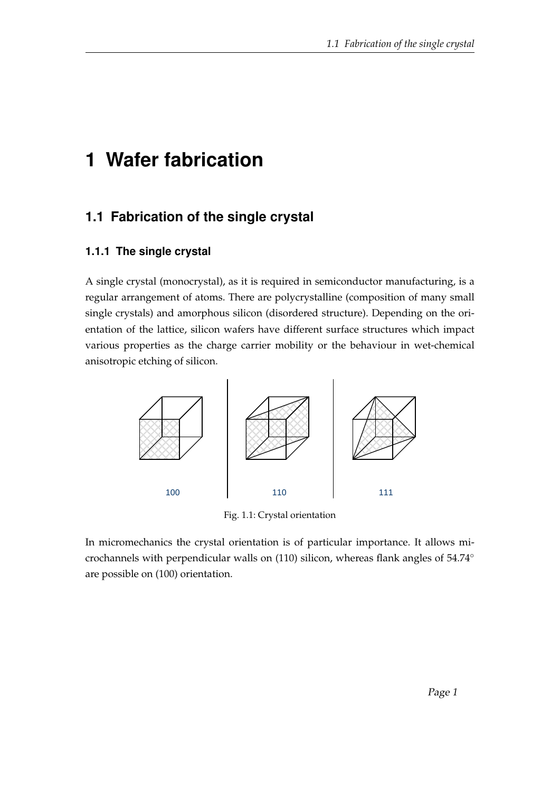# **1 Wafer fabrication**

## **1.1 Fabrication of the single crystal**

#### **1.1.1 The single crystal**

A single crystal (monocrystal), as it is required in semiconductor manufacturing, is a regular arrangement of atoms. There are polycrystalline (composition of many small single crystals) and amorphous silicon (disordered structure). Depending on the orientation of the lattice, silicon wafers have different surface structures which impact various properties as the charge carrier mobility or the behaviour in wet-chemical anisotropic etching of silicon.



Fig. 1.1: Crystal orientation

In micromechanics the crystal orientation is of particular importance. It allows microchannels with perpendicular walls on (110) silicon, whereas flank angles of 54.74◦ are possible on (100) orientation.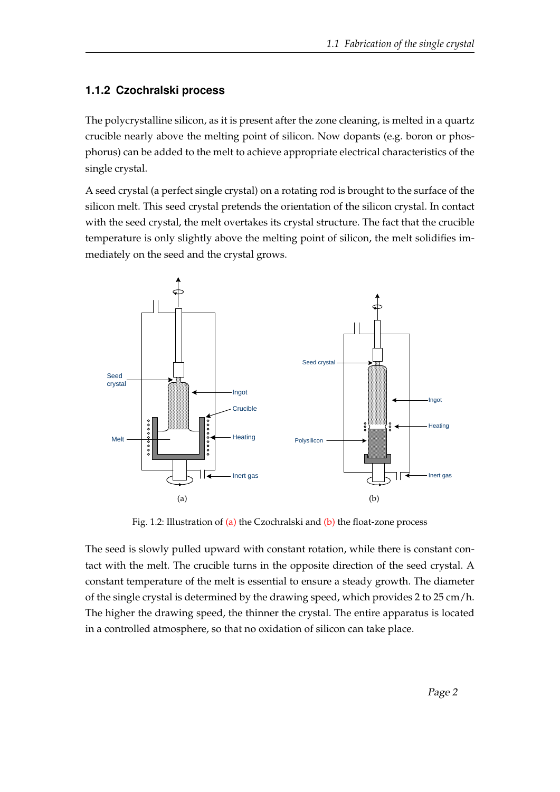#### **1.1.2 Czochralski process**

The polycrystalline silicon, as it is present after the zone cleaning, is melted in a quartz crucible nearly above the melting point of silicon. Now dopants (e.g. boron or phosphorus) can be added to the melt to achieve appropriate electrical characteristics of the single crystal.

A seed crystal (a perfect single crystal) on a rotating rod is brought to the surface of the silicon melt. This seed crystal pretends the orientation of the silicon crystal. In contact with the seed crystal, the melt overtakes its crystal structure. The fact that the crucible temperature is only slightly above the melting point of silicon, the melt solidifies immediately on the seed and the crystal grows.

<span id="page-1-0"></span>

<span id="page-1-1"></span>Fig. 1.2: Illustration of [\(a\)](#page-1-0) the Czochralski and [\(b\)](#page-1-1) the float-zone process

The seed is slowly pulled upward with constant rotation, while there is constant contact with the melt. The crucible turns in the opposite direction of the seed crystal. A constant temperature of the melt is essential to ensure a steady growth. The diameter of the single crystal is determined by the drawing speed, which provides 2 to 25 cm/h. The higher the drawing speed, the thinner the crystal. The entire apparatus is located in a controlled atmosphere, so that no oxidation of silicon can take place.